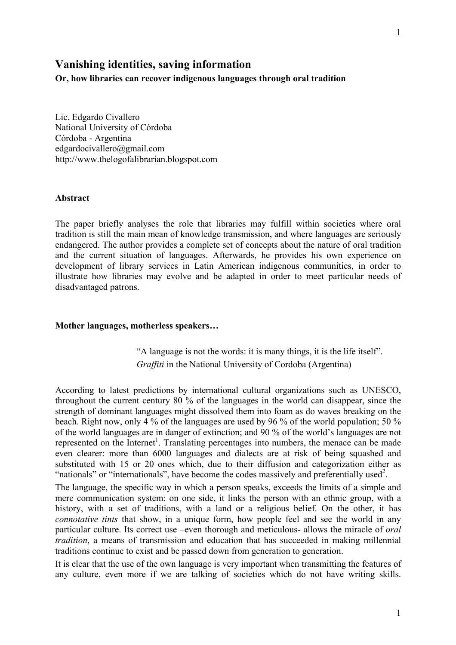# **Vanishing identities, saving information**

**Or, how libraries can recover indigenous languages through oral tradition** 

Lic. Edgardo Civallero National University of Córdoba Córdoba - Argentina edgardocivallero@gmail.com http://www.thelogofalibrarian.blogspot.com

#### **Abstract**

The paper briefly analyses the role that libraries may fulfill within societies where oral tradition is still the main mean of knowledge transmission, and where languages are seriously endangered. The author provides a complete set of concepts about the nature of oral tradition and the current situation of languages. Afterwards, he provides his own experience on development of library services in Latin American indigenous communities, in order to illustrate how libraries may evolve and be adapted in order to meet particular needs of disadvantaged patrons.

#### **Mother languages, motherless speakers…**

"A language is not the words: it is many things, it is the life itself". *Graffiti* in the National University of Cordoba (Argentina)

According to latest predictions by international cultural organizations such as UNESCO, throughout the current century 80 % of the languages in the world can disappear, since the strength of dominant languages might dissolved them into foam as do waves breaking on the beach. Right now, only 4 % of the languages are used by 96 % of the world population; 50 % of the world languages are in danger of extinction; and 90 % of the world's languages are not represented on the Internet<sup>1</sup>. Translating percentages into numbers, the menace can be made even clearer: more than 6000 languages and dialects are at risk of being squashed and substituted with 15 or 20 ones which, due to their diffusion and categorization either as "nationals" or "internationals", have become the codes massively and preferentially used<sup>2</sup>.

The language, the specific way in which a person speaks, exceeds the limits of a simple and mere communication system: on one side, it links the person with an ethnic group, with a history, with a set of traditions, with a land or a religious belief. On the other, it has *connotative tints* that show, in a unique form, how people feel and see the world in any particular culture. Its correct use –even thorough and meticulous- allows the miracle of *oral tradition*, a means of transmission and education that has succeeded in making millennial traditions continue to exist and be passed down from generation to generation.

It is clear that the use of the own language is very important when transmitting the features of any culture, even more if we are talking of societies which do not have writing skills.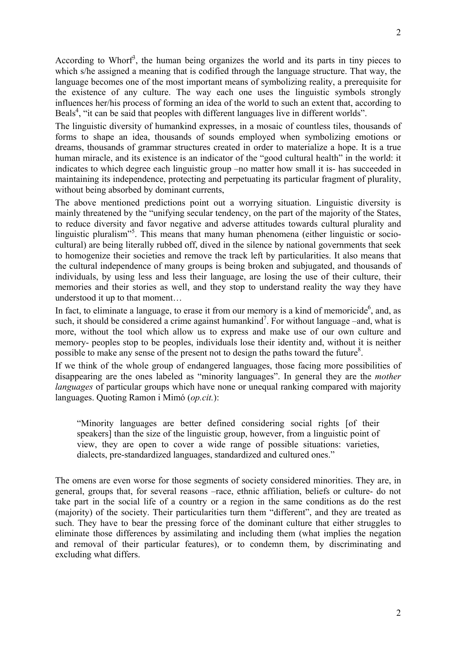According to Whorf<sup>3</sup>, the human being organizes the world and its parts in tiny pieces to which s/he assigned a meaning that is codified through the language structure. That way, the language becomes one of the most important means of symbolizing reality, a prerequisite for the existence of any culture. The way each one uses the linguistic symbols strongly influences her/his process of forming an idea of the world to such an extent that, according to Beals<sup>4</sup>, "it can be said that peoples with different languages live in different worlds".

The linguistic diversity of humankind expresses, in a mosaic of countless tiles, thousands of forms to shape an idea, thousands of sounds employed when symbolizing emotions or dreams, thousands of grammar structures created in order to materialize a hope. It is a true human miracle, and its existence is an indicator of the "good cultural health" in the world: it indicates to which degree each linguistic group –no matter how small it is- has succeeded in maintaining its independence, protecting and perpetuating its particular fragment of plurality, without being absorbed by dominant currents,

The above mentioned predictions point out a worrying situation. Linguistic diversity is mainly threatened by the "unifying secular tendency, on the part of the majority of the States, to reduce diversity and favor negative and adverse attitudes towards cultural plurality and linguistic pluralism"<sup>5</sup>. This means that many human phenomena (either linguistic or sociocultural) are being literally rubbed off, dived in the silence by national governments that seek to homogenize their societies and remove the track left by particularities. It also means that the cultural independence of many groups is being broken and subjugated, and thousands of individuals, by using less and less their language, are losing the use of their culture, their memories and their stories as well, and they stop to understand reality the way they have understood it up to that moment…

In fact, to eliminate a language, to erase it from our memory is a kind of memoricide<sup>6</sup>, and, as such, it should be considered a crime against humankind<sup>7</sup>. For without language –and, what is more, without the tool which allow us to express and make use of our own culture and memory- peoples stop to be peoples, individuals lose their identity and, without it is neither possible to make any sense of the present not to design the paths toward the future<sup>8</sup>.

If we think of the whole group of endangered languages, those facing more possibilities of disappearing are the ones labeled as "minority languages". In general they are the *mother languages* of particular groups which have none or unequal ranking compared with majority languages. Quoting Ramon i Mimó (*op.cit.*):

"Minority languages are better defined considering social rights [of their speakers] than the size of the linguistic group, however, from a linguistic point of view, they are open to cover a wide range of possible situations: varieties, dialects, pre-standardized languages, standardized and cultured ones."

The omens are even worse for those segments of society considered minorities. They are, in general, groups that, for several reasons –race, ethnic affiliation, beliefs or culture- do not take part in the social life of a country or a region in the same conditions as do the rest (majority) of the society. Their particularities turn them "different", and they are treated as such. They have to bear the pressing force of the dominant culture that either struggles to eliminate those differences by assimilating and including them (what implies the negation and removal of their particular features), or to condemn them, by discriminating and excluding what differs.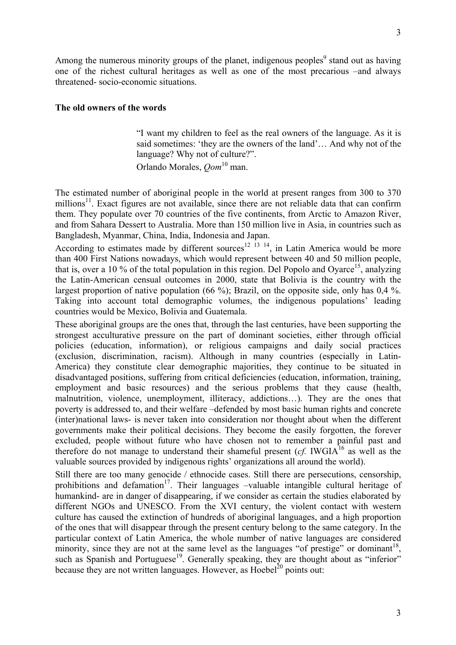Among the numerous minority groups of the planet, indigenous peoples<sup>9</sup> stand out as having one of the richest cultural heritages as well as one of the most precarious –and always threatened- socio-economic situations.

### **The old owners of the words**

"I want my children to feel as the real owners of the language. As it is said sometimes: 'they are the owners of the land'… And why not of the language? Why not of culture?".

Orlando Morales, *Qom*10 man.

The estimated number of aboriginal people in the world at present ranges from 300 to 370 millions<sup>11</sup>. Exact figures are not available, since there are not reliable data that can confirm them. They populate over 70 countries of the five continents, from Arctic to Amazon River, and from Sahara Dessert to Australia. More than 150 million live in Asia, in countries such as Bangladesh, Myanmar, China, India, Indonesia and Japan.

According to estimates made by different sources<sup>12 13</sup> <sup>14</sup>, in Latin America would be more than 400 First Nations nowadays, which would represent between 40 and 50 million people, that is, over a 10 % of the total population in this region. Del Popolo and Oyarce<sup>15</sup>, analyzing the Latin-American censual outcomes in 2000, state that Bolivia is the country with the largest proportion of native population (66 %); Brazil, on the opposite side, only has 0.4 %. Taking into account total demographic volumes, the indigenous populations' leading countries would be Mexico, Bolivia and Guatemala.

These aboriginal groups are the ones that, through the last centuries, have been supporting the strongest acculturative pressure on the part of dominant societies, either through official policies (education, information), or religious campaigns and daily social practices (exclusion, discrimination, racism). Although in many countries (especially in Latin-America) they constitute clear demographic majorities, they continue to be situated in disadvantaged positions, suffering from critical deficiencies (education, information, training, employment and basic resources) and the serious problems that they cause (health, malnutrition, violence, unemployment, illiteracy, addictions…). They are the ones that poverty is addressed to, and their welfare –defended by most basic human rights and concrete (inter)national laws- is never taken into consideration nor thought about when the different governments make their political decisions. They become the easily forgotten, the forever excluded, people without future who have chosen not to remember a painful past and therefore do not manage to understand their shameful present  $(cf. IWGIA<sup>16</sup>$  as well as the valuable sources provided by indigenous rights' organizations all around the world).

Still there are too many genocide / ethnocide cases. Still there are persecutions, censorship, prohibitions and defamation<sup>17</sup>. Their languages –valuable intangible cultural heritage of humankind- are in danger of disappearing, if we consider as certain the studies elaborated by different NGOs and UNESCO. From the XVI century, the violent contact with western culture has caused the extinction of hundreds of aboriginal languages, and a high proportion of the ones that will disappear through the present century belong to the same category. In the particular context of Latin America, the whole number of native languages are considered minority, since they are not at the same level as the languages "of prestige" or dominant<sup>18</sup>. such as Spanish and Portuguese<sup>19</sup>. Generally speaking, they are thought about as "inferior" because they are not written languages. However, as  $Hoebel<sup>20</sup>$  points out: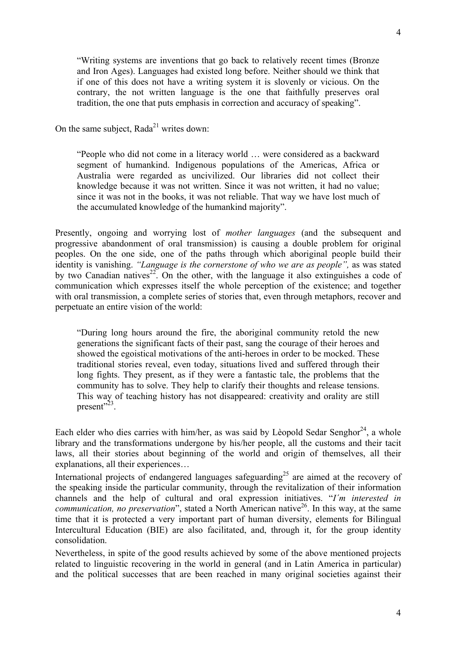"Writing systems are inventions that go back to relatively recent times (Bronze and Iron Ages). Languages had existed long before. Neither should we think that if one of this does not have a writing system it is slovenly or vicious. On the contrary, the not written language is the one that faithfully preserves oral tradition, the one that puts emphasis in correction and accuracy of speaking".

On the same subject,  $Rada<sup>21</sup>$  writes down:

"People who did not come in a literacy world … were considered as a backward segment of humankind. Indigenous populations of the Americas, Africa or Australia were regarded as uncivilized. Our libraries did not collect their knowledge because it was not written. Since it was not written, it had no value; since it was not in the books, it was not reliable. That way we have lost much of the accumulated knowledge of the humankind majority".

Presently, ongoing and worrying lost of *mother languages* (and the subsequent and progressive abandonment of oral transmission) is causing a double problem for original peoples. On the one side, one of the paths through which aboriginal people build their identity is vanishing. *"Language is the cornerstone of who we are as people",* as was stated by two Canadian natives<sup>22</sup>. On the other, with the language it also extinguishes a code of communication which expresses itself the whole perception of the existence; and together with oral transmission, a complete series of stories that, even through metaphors, recover and perpetuate an entire vision of the world:

"During long hours around the fire, the aboriginal community retold the new generations the significant facts of their past, sang the courage of their heroes and showed the egoistical motivations of the anti-heroes in order to be mocked. These traditional stories reveal, even today, situations lived and suffered through their long fights. They present, as if they were a fantastic tale, the problems that the community has to solve. They help to clarify their thoughts and release tensions. This way of teaching history has not disappeared: creativity and orality are still present" $^{23}$ .

Each elder who dies carries with him/her, as was said by Lèopold Sedar Senghor<sup>24</sup>, a whole library and the transformations undergone by his/her people, all the customs and their tacit laws, all their stories about beginning of the world and origin of themselves, all their explanations, all their experiences…

International projects of endangered languages safeguarding<sup>25</sup> are aimed at the recovery of the speaking inside the particular community, through the revitalization of their information channels and the help of cultural and oral expression initiatives. "*I´m interested in communication, no preservation*", stated a North American native<sup>26</sup>. In this way, at the same time that it is protected a very important part of human diversity, elements for Bilingual Intercultural Education (BIE) are also facilitated, and, through it, for the group identity consolidation.

Nevertheless, in spite of the good results achieved by some of the above mentioned projects related to linguistic recovering in the world in general (and in Latin America in particular) and the political successes that are been reached in many original societies against their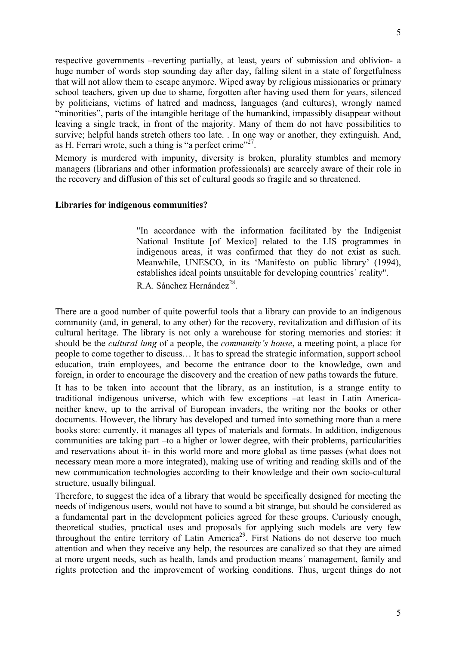respective governments –reverting partially, at least, years of submission and oblivion- a huge number of words stop sounding day after day, falling silent in a state of forgetfulness that will not allow them to escape anymore. Wiped away by religious missionaries or primary school teachers, given up due to shame, forgotten after having used them for years, silenced by politicians, victims of hatred and madness, languages (and cultures), wrongly named "minorities", parts of the intangible heritage of the humankind, impassibly disappear without leaving a single track, in front of the majority. Many of them do not have possibilities to survive; helpful hands stretch others too late. . In one way or another, they extinguish. And, as H. Ferrari wrote, such a thing is "a perfect crime"<sup>27</sup>.

Memory is murdered with impunity, diversity is broken, plurality stumbles and memory managers (librarians and other information professionals) are scarcely aware of their role in the recovery and diffusion of this set of cultural goods so fragile and so threatened.

#### **Libraries for indigenous communities?**

"In accordance with the information facilitated by the Indigenist National Institute [of Mexico] related to the LIS programmes in indigenous areas, it was confirmed that they do not exist as such. Meanwhile, UNESCO, in its 'Manifesto on public library' (1994), establishes ideal points unsuitable for developing countries´ reality". R.A. Sánchez Hernández $^{28}$ .

There are a good number of quite powerful tools that a library can provide to an indigenous community (and, in general, to any other) for the recovery, revitalization and diffusion of its cultural heritage. The library is not only a warehouse for storing memories and stories: it should be the *cultural lung* of a people, the *community's house*, a meeting point, a place for people to come together to discuss… It has to spread the strategic information, support school education, train employees, and become the entrance door to the knowledge, own and foreign, in order to encourage the discovery and the creation of new paths towards the future. It has to be taken into account that the library, as an institution, is a strange entity to

traditional indigenous universe, which with few exceptions –at least in Latin Americaneither knew, up to the arrival of European invaders, the writing nor the books or other documents. However, the library has developed and turned into something more than a mere books store: currently, it manages all types of materials and formats. In addition, indigenous communities are taking part –to a higher or lower degree, with their problems, particularities and reservations about it- in this world more and more global as time passes (what does not necessary mean more a more integrated), making use of writing and reading skills and of the new communication technologies according to their knowledge and their own socio-cultural structure, usually bilingual.

Therefore, to suggest the idea of a library that would be specifically designed for meeting the needs of indigenous users, would not have to sound a bit strange, but should be considered as a fundamental part in the development policies agreed for these groups. Curiously enough, theoretical studies, practical uses and proposals for applying such models are very few throughout the entire territory of Latin America<sup>29</sup>. First Nations do not deserve too much attention and when they receive any help, the resources are canalized so that they are aimed at more urgent needs, such as health, lands and production means´ management, family and rights protection and the improvement of working conditions. Thus, urgent things do not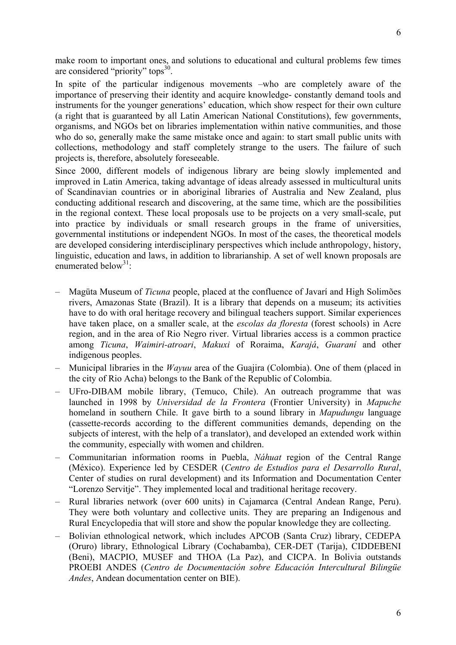6

make room to important ones, and solutions to educational and cultural problems few times are considered "priority" tops<sup>30</sup>.

In spite of the particular indigenous movements –who are completely aware of the importance of preserving their identity and acquire knowledge- constantly demand tools and instruments for the younger generations' education, which show respect for their own culture (a right that is guaranteed by all Latin American National Constitutions), few governments, organisms, and NGOs bet on libraries implementation within native communities, and those who do so, generally make the same mistake once and again: to start small public units with collections, methodology and staff completely strange to the users. The failure of such projects is, therefore, absolutely foreseeable.

Since 2000, different models of indigenous library are being slowly implemented and improved in Latin America, taking advantage of ideas already assessed in multicultural units of Scandinavian countries or in aboriginal libraries of Australia and New Zealand, plus conducting additional research and discovering, at the same time, which are the possibilities in the regional context. These local proposals use to be projects on a very small-scale, put into practice by individuals or small research groups in the frame of universities, governmental institutions or independent NGOs. In most of the cases, the theoretical models are developed considering interdisciplinary perspectives which include anthropology, history, linguistic, education and laws, in addition to librarianship. A set of well known proposals are enumerated below<sup>31.</sup>

- Magüta Museum of *Ticuna* people, placed at the confluence of Javarí and High Solimões rivers, Amazonas State (Brazil). It is a library that depends on a museum; its activities have to do with oral heritage recovery and bilingual teachers support. Similar experiences have taken place, on a smaller scale, at the *escolas da floresta* (forest schools) in Acre region, and in the area of Rio Negro river. Virtual libraries access is a common practice among *Ticuna*, *Waimiri-atroari*, *Makuxi* of Roraima, *Karajá*, *Guaraní* and other indigenous peoples.
- Municipal libraries in the *Wayuu* area of the Guajira (Colombia). One of them (placed in the city of Rio Acha) belongs to the Bank of the Republic of Colombia.
- UFro-DIBAM mobile library, (Temuco, Chile). An outreach programme that was launched in 1998 by *Universidad de la Frontera* (Frontier University) in *Mapuche* homeland in southern Chile. It gave birth to a sound library in *Mapudungu* language (cassette-records according to the different communities demands, depending on the subjects of interest, with the help of a translator), and developed an extended work within the community, especially with women and children.
- Communitarian information rooms in Puebla, *Náhuat* region of the Central Range (México). Experience led by CESDER (*Centro de Estudios para el Desarrollo Rural*, Center of studies on rural development) and its Information and Documentation Center "Lorenzo Servitje". They implemented local and traditional heritage recovery.
- Rural libraries network (over 600 units) in Cajamarca (Central Andean Range, Peru). They were both voluntary and collective units. They are preparing an Indigenous and Rural Encyclopedia that will store and show the popular knowledge they are collecting.
- Bolivian ethnological network, which includes APCOB (Santa Cruz) library, CEDEPA (Oruro) library, Ethnological Library (Cochabamba), CER-DET (Tarija), CIDDEBENI (Beni), MACPIO, MUSEF and THOA (La Paz), and CICPA. In Bolivia outstands PROEBI ANDES (*Centro de Documentación sobre Educación Intercultural Bilingüe Andes*, Andean documentation center on BIE).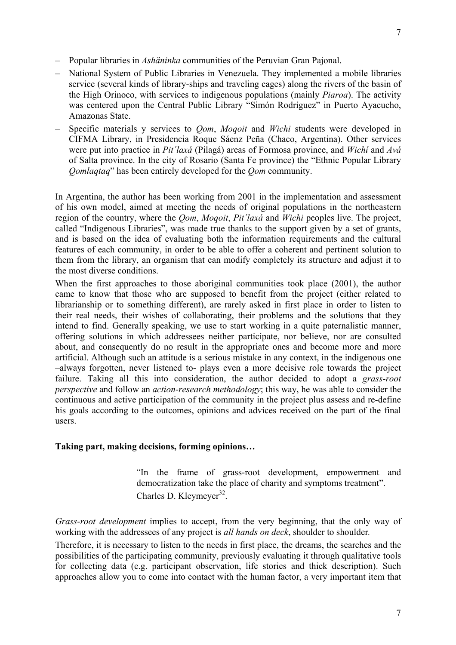- National System of Public Libraries in Venezuela. They implemented a mobile libraries service (several kinds of library-ships and traveling cages) along the rivers of the basin of the High Orinoco, with services to indigenous populations (mainly *Piaroa*). The activity was centered upon the Central Public Library "Simón Rodríguez" in Puerto Ayacucho, Amazonas State.
- Specific materials y services to *Qom*, *Moqoit* and *Wichi* students were developed in CIFMA Library, in Presidencia Roque Sáenz Peña (Chaco, Argentina). Other services were put into practice in *Pit´laxá* (Pilagá) areas of Formosa province, and *Wichí* and *Avá* of Salta province. In the city of Rosario (Santa Fe province) the "Ethnic Popular Library *Qomlaqtaq*" has been entirely developed for the *Qom* community.

In Argentina, the author has been working from 2001 in the implementation and assessment of his own model, aimed at meeting the needs of original populations in the northeastern region of the country, where the *Qom*, *Moqoit*, *Pit´laxá* and *Wichi* peoples live. The project, called "Indigenous Libraries", was made true thanks to the support given by a set of grants, and is based on the idea of evaluating both the information requirements and the cultural features of each community, in order to be able to offer a coherent and pertinent solution to them from the library, an organism that can modify completely its structure and adjust it to the most diverse conditions.

When the first approaches to those aboriginal communities took place (2001), the author came to know that those who are supposed to benefit from the project (either related to librarianship or to something different), are rarely asked in first place in order to listen to their real needs, their wishes of collaborating, their problems and the solutions that they intend to find. Generally speaking, we use to start working in a quite paternalistic manner, offering solutions in which addressees neither participate, nor believe, nor are consulted about, and consequently do no result in the appropriate ones and become more and more artificial. Although such an attitude is a serious mistake in any context, in the indigenous one –always forgotten, never listened to- plays even a more decisive role towards the project failure. Taking all this into consideration, the author decided to adopt a *grass-root perspective* and follow an *action-research methodology*; this way, he was able to consider the continuous and active participation of the community in the project plus assess and re-define his goals according to the outcomes, opinions and advices received on the part of the final users.

# **Taking part, making decisions, forming opinions…**

"In the frame of grass-root development, empowerment and democratization take the place of charity and symptoms treatment". Charles D. Kleymeyer<sup>32</sup>.

*Grass-root development* implies to accept, from the very beginning, that the only way of working with the addressees of any project is *all hands on deck*, shoulder to shoulder*.* 

Therefore, it is necessary to listen to the needs in first place, the dreams, the searches and the possibilities of the participating community, previously evaluating it through qualitative tools for collecting data (e.g. participant observation, life stories and thick description). Such approaches allow you to come into contact with the human factor, a very important item that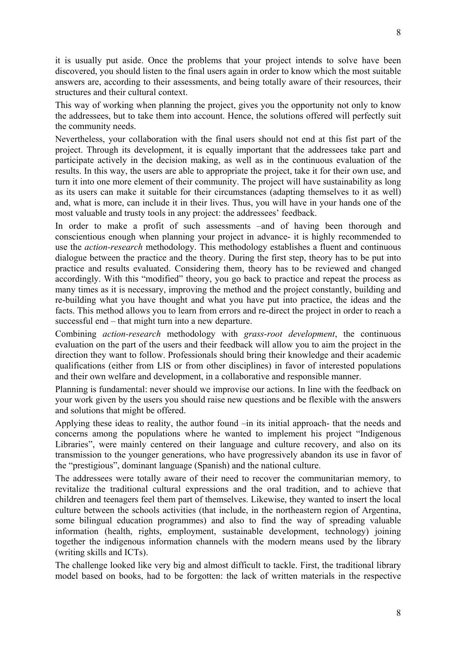it is usually put aside. Once the problems that your project intends to solve have been discovered, you should listen to the final users again in order to know which the most suitable answers are, according to their assessments, and being totally aware of their resources, their structures and their cultural context.

This way of working when planning the project, gives you the opportunity not only to know the addressees, but to take them into account. Hence, the solutions offered will perfectly suit the community needs.

Nevertheless, your collaboration with the final users should not end at this fist part of the project. Through its development, it is equally important that the addressees take part and participate actively in the decision making, as well as in the continuous evaluation of the results. In this way, the users are able to appropriate the project, take it for their own use, and turn it into one more element of their community. The project will have sustainability as long as its users can make it suitable for their circumstances (adapting themselves to it as well) and, what is more, can include it in their lives. Thus, you will have in your hands one of the most valuable and trusty tools in any project: the addressees' feedback.

In order to make a profit of such assessments –and of having been thorough and conscientious enough when planning your project in advance- it is highly recommended to use the *action-research* methodology. This methodology establishes a fluent and continuous dialogue between the practice and the theory. During the first step, theory has to be put into practice and results evaluated. Considering them, theory has to be reviewed and changed accordingly. With this "modified" theory, you go back to practice and repeat the process as many times as it is necessary, improving the method and the project constantly, building and re-building what you have thought and what you have put into practice, the ideas and the facts. This method allows you to learn from errors and re-direct the project in order to reach a successful end – that might turn into a new departure.

Combining *action-research* methodology with *grass-root development*, the continuous evaluation on the part of the users and their feedback will allow you to aim the project in the direction they want to follow. Professionals should bring their knowledge and their academic qualifications (either from LIS or from other disciplines) in favor of interested populations and their own welfare and development, in a collaborative and responsible manner.

Planning is fundamental: never should we improvise our actions. In line with the feedback on your work given by the users you should raise new questions and be flexible with the answers and solutions that might be offered.

Applying these ideas to reality, the author found –in its initial approach- that the needs and concerns among the populations where he wanted to implement his project "Indigenous Libraries", were mainly centered on their language and culture recovery, and also on its transmission to the younger generations, who have progressively abandon its use in favor of the "prestigious", dominant language (Spanish) and the national culture.

The addressees were totally aware of their need to recover the communitarian memory, to revitalize the traditional cultural expressions and the oral tradition, and to achieve that children and teenagers feel them part of themselves. Likewise, they wanted to insert the local culture between the schools activities (that include, in the northeastern region of Argentina, some bilingual education programmes) and also to find the way of spreading valuable information (health, rights, employment, sustainable development, technology) joining together the indigenous information channels with the modern means used by the library (writing skills and ICTs).

The challenge looked like very big and almost difficult to tackle. First, the traditional library model based on books, had to be forgotten: the lack of written materials in the respective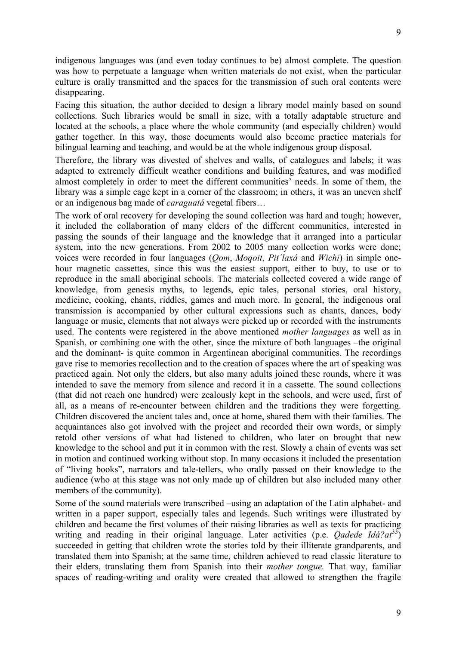indigenous languages was (and even today continues to be) almost complete. The question was how to perpetuate a language when written materials do not exist, when the particular culture is orally transmitted and the spaces for the transmission of such oral contents were disappearing.

Facing this situation, the author decided to design a library model mainly based on sound collections. Such libraries would be small in size, with a totally adaptable structure and located at the schools, a place where the whole community (and especially children) would gather together. In this way, those documents would also become practice materials for bilingual learning and teaching, and would be at the whole indigenous group disposal.

Therefore, the library was divested of shelves and walls, of catalogues and labels; it was adapted to extremely difficult weather conditions and building features, and was modified almost completely in order to meet the different communities' needs. In some of them, the library was a simple cage kept in a corner of the classroom; in others, it was an uneven shelf or an indigenous bag made of *caraguatá* vegetal fibers…

The work of oral recovery for developing the sound collection was hard and tough; however, it included the collaboration of many elders of the different communities, interested in passing the sounds of their language and the knowledge that it arranged into a particular system, into the new generations. From 2002 to 2005 many collection works were done; voices were recorded in four languages (*Qom*, *Moqoit*, *Pit´laxá* and *Wichi*) in simple onehour magnetic cassettes, since this was the easiest support, either to buy, to use or to reproduce in the small aboriginal schools. The materials collected covered a wide range of knowledge, from genesis myths, to legends, epic tales, personal stories, oral history, medicine, cooking, chants, riddles, games and much more. In general, the indigenous oral transmission is accompanied by other cultural expressions such as chants, dances, body language or music, elements that not always were picked up or recorded with the instruments used. The contents were registered in the above mentioned *mother languages* as well as in Spanish, or combining one with the other, since the mixture of both languages –the original and the dominant- is quite common in Argentinean aboriginal communities. The recordings gave rise to memories recollection and to the creation of spaces where the art of speaking was practiced again. Not only the elders, but also many adults joined these rounds, where it was intended to save the memory from silence and record it in a cassette. The sound collections (that did not reach one hundred) were zealously kept in the schools, and were used, first of all, as a means of re-encounter between children and the traditions they were forgetting. Children discovered the ancient tales and, once at home, shared them with their families. The acquaintances also got involved with the project and recorded their own words, or simply retold other versions of what had listened to children, who later on brought that new knowledge to the school and put it in common with the rest. Slowly a chain of events was set in motion and continued working without stop. In many occasions it included the presentation of "living books", narrators and tale-tellers, who orally passed on their knowledge to the audience (who at this stage was not only made up of children but also included many other members of the community).

Some of the sound materials were transcribed –using an adaptation of the Latin alphabet- and written in a paper support, especially tales and legends. Such writings were illustrated by children and became the first volumes of their raising libraries as well as texts for practicing writing and reading in their original language. Later activities (p.e. *Qadede Idá?at*33) succeeded in getting that children wrote the stories told by their illiterate grandparents, and translated them into Spanish; at the same time, children achieved to read classic literature to their elders, translating them from Spanish into their *mother tongue.* That way, familiar spaces of reading-writing and orality were created that allowed to strengthen the fragile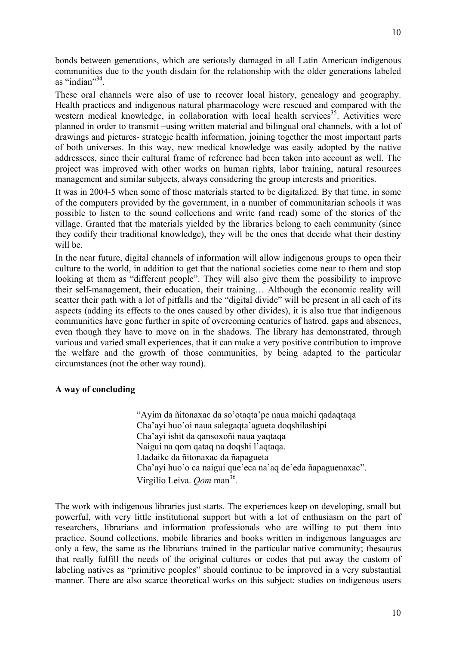bonds between generations, which are seriously damaged in all Latin American indigenous communities due to the youth disdain for the relationship with the older generations labeled as "indian" $34$ .

These oral channels were also of use to recover local history, genealogy and geography. Health practices and indigenous natural pharmacology were rescued and compared with the western medical knowledge, in collaboration with local health services<sup>35</sup>. Activities were planned in order to transmit –using written material and bilingual oral channels, with a lot of drawings and pictures- strategic health information, joining together the most important parts of both universes. In this way, new medical knowledge was easily adopted by the native addressees, since their cultural frame of reference had been taken into account as well. The project was improved with other works on human rights, labor training, natural resources management and similar subjects, always considering the group interests and priorities.

It was in 2004-5 when some of those materials started to be digitalized. By that time, in some of the computers provided by the government, in a number of communitarian schools it was possible to listen to the sound collections and write (and read) some of the stories of the village. Granted that the materials yielded by the libraries belong to each community (since they codify their traditional knowledge), they will be the ones that decide what their destiny will be.

In the near future, digital channels of information will allow indigenous groups to open their culture to the world, in addition to get that the national societies come near to them and stop looking at them as "different people". They will also give them the possibility to improve their self-management, their education, their training… Although the economic reality will scatter their path with a lot of pitfalls and the "digital divide" will be present in all each of its aspects (adding its effects to the ones caused by other divides), it is also true that indigenous communities have gone further in spite of overcoming centuries of hatred, gaps and absences, even though they have to move on in the shadows. The library has demonstrated, through various and varied small experiences, that it can make a very positive contribution to improve the welfare and the growth of those communities, by being adapted to the particular circumstances (not the other way round).

## **A way of concluding**

"Ayim da ñitonaxac da so'otaqta'pe naua maichi qadaqtaqa Cha'ayi huo'oi naua salegaqta'agueta doqshilashipi Cha'ayi ishit da qansoxoñi naua yaqtaqa Naigui na qom qataq na doqshi l'aqtaqa. Ltadaikc da ñitonaxac da ñapagueta Cha'ayi huo'o ca naigui que'eca na'aq de'eda ñapaguenaxac". Virgilio Leiva. *Qom* man36.

The work with indigenous libraries just starts. The experiences keep on developing, small but powerful, with very little institutional support but with a lot of enthusiasm on the part of researchers, librarians and information professionals who are willing to put them into practice. Sound collections, mobile libraries and books written in indigenous languages are only a few, the same as the librarians trained in the particular native community; thesaurus that really fulfill the needs of the original cultures or codes that put away the custom of labeling natives as "primitive peoples" should continue to be improved in a very substantial manner. There are also scarce theoretical works on this subject: studies on indigenous users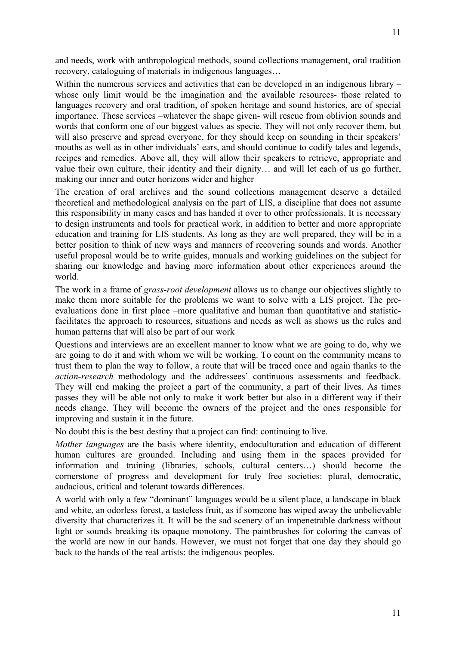11

and needs, work with anthropological methods, sound collections management, oral tradition recovery, cataloguing of materials in indigenous languages…

Within the numerous services and activities that can be developed in an indigenous library – whose only limit would be the imagination and the available resources- those related to languages recovery and oral tradition, of spoken heritage and sound histories, are of special importance. These services –whatever the shape given- will rescue from oblivion sounds and words that conform one of our biggest values as specie. They will not only recover them, but will also preserve and spread everyone, for they should keep on sounding in their speakers' mouths as well as in other individuals' ears, and should continue to codify tales and legends, recipes and remedies. Above all, they will allow their speakers to retrieve, appropriate and value their own culture, their identity and their dignity… and will let each of us go further, making our inner and outer horizons wider and higher

The creation of oral archives and the sound collections management deserve a detailed theoretical and methodological analysis on the part of LIS, a discipline that does not assume this responsibility in many cases and has handed it over to other professionals. It is necessary to design instruments and tools for practical work, in addition to better and more appropriate education and training for LIS students. As long as they are well prepared, they will be in a better position to think of new ways and manners of recovering sounds and words. Another useful proposal would be to write guides, manuals and working guidelines on the subject for sharing our knowledge and having more information about other experiences around the world.

The work in a frame of *grass-root development* allows us to change our objectives slightly to make them more suitable for the problems we want to solve with a LIS project. The preevaluations done in first place –more qualitative and human than quantitative and statisticfacilitates the approach to resources, situations and needs as well as shows us the rules and human patterns that will also be part of our work

Questions and interviews are an excellent manner to know what we are going to do, why we are going to do it and with whom we will be working. To count on the community means to trust them to plan the way to follow, a route that will be traced once and again thanks to the *action-research* methodology and the addressees' continuous assessments and feedback. They will end making the project a part of the community, a part of their lives. As times passes they will be able not only to make it work better but also in a different way if their needs change. They will become the owners of the project and the ones responsible for improving and sustain it in the future.

No doubt this is the best destiny that a project can find: continuing to live.

*Mother languages* are the basis where identity, endoculturation and education of different human cultures are grounded. Including and using them in the spaces provided for information and training (libraries, schools, cultural centers…) should become the cornerstone of progress and development for truly free societies: plural, democratic, audacious, critical and tolerant towards differences.

A world with only a few "dominant" languages would be a silent place, a landscape in black and white, an odorless forest, a tasteless fruit, as if someone has wiped away the unbelievable diversity that characterizes it. It will be the sad scenery of an impenetrable darkness without light or sounds breaking its opaque monotony. The paintbrushes for coloring the canvas of the world are now in our hands. However, we must not forget that one day they should go back to the hands of the real artists: the indigenous peoples.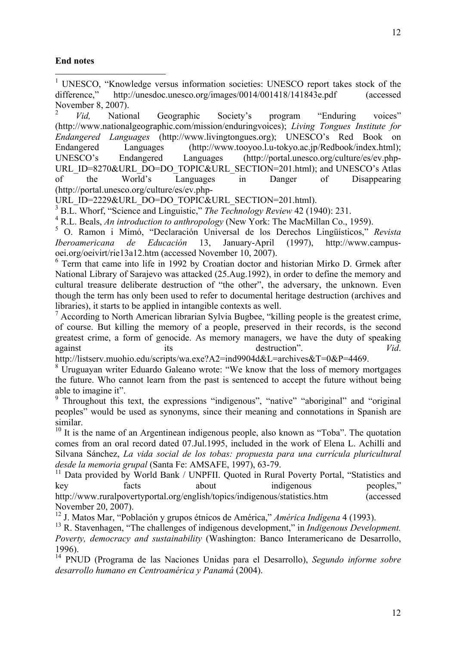### **End notes**

 $\overline{a}$ 

<sup>1</sup> UNESCO, "Knowledge versus information societies: UNESCO report takes stock of the difference," http://unesdoc.unesco.org/images/0014/001418/141843e.pdf (accessed November 8, 2007).

<sup>2</sup> *Vid,* National Geographic Society's program "Enduring voices" (http://www.nationalgeographic.com/mission/enduringvoices); *Living Tongues Institute for Endangered Languages* (http://www.livingtongues.org); UNESCO's Red Book on Endangered Languages (http://www.tooyoo.l.u-tokyo.ac.jp/Redbook/index.html); UNESCO's Endangered Languages (http://portal.unesco.org/culture/es/ev.php-URL\_ID=8270&URL\_DO=DO\_TOPIC&URL\_SECTION=201.html); and UNESCO's Atlas of the World's Languages in Danger of Disappearing (http://portal.unesco.org/culture/es/ev.php-

URL\_ID=2229&URL\_DO=DO\_TOPIC&URL\_SECTION=201.html).

<sup>3</sup> B.L. Whorf, "Science and Linguistic," *The Technology Review* 42 (1940): 231.

4 R.L. Beals, *An introduction to anthropology* (New York: The MacMillan Co., 1959).

5 O. Ramon i Mimó, "Declaración Universal de los Derechos Lingüísticos," *Revista Iberoamericana de Educación* 13, January-April (1997), http://www.campusoei.org/oeivirt/rie13a12.htm (accessed November 10, 2007).

<sup>6</sup> Term that came into life in 1992 by Croatian doctor and historian Mirko D. Grmek after National Library of Sarajevo was attacked (25.Aug.1992), in order to define the memory and cultural treasure deliberate destruction of "the other", the adversary, the unknown. Even though the term has only been used to refer to documental heritage destruction (archives and libraries), it starts to be applied in intangible contexts as well.

<sup>7</sup> According to North American librarian Sylvia Bugbee, "killing people is the greatest crime, of course. But killing the memory of a people, preserved in their records, is the second greatest crime, a form of genocide. As memory managers, we have the duty of speaking against its destruction". *Vid*.

http://listserv.muohio.edu/scripts/wa.exe?A2=ind9904d&L=archives&T=0&P=4469.

 $8$  Uruguayan writer Eduardo Galeano wrote: "We know that the loss of memory mortgages the future. Who cannot learn from the past is sentenced to accept the future without being able to imagine it".

<sup>9</sup> Throughout this text, the expressions "indigenous", "native" "aboriginal" and "original peoples" would be used as synonyms, since their meaning and connotations in Spanish are similar.

 $10$  It is the name of an Argentinean indigenous people, also known as "Toba". The quotation comes from an oral record dated 07.Jul.1995, included in the work of Elena L. Achilli and Silvana Sánchez, *La vida social de los tobas: propuesta para una currícula pluricultural desde la memoria grupal* (Santa Fe: AMSAFE, 1997), 63-79.

<sup>11</sup> Data provided by World Bank / UNPFII. Quoted in Rural Poverty Portal, "Statistics and key facts about indigenous peoples," http://www.ruralpovertyportal.org/english/topics/indigenous/statistics.htm (accessed November 20, 2007).

12 J. Matos Mar, "Población y grupos étnicos de América," *América Indígena* 4 (1993).

<sup>13</sup> R. Stavenhagen, "The challenges of indigenous development," in *Indigenous Development*. *Poverty, democracy and sustainability* (Washington: Banco Interamericano de Desarrollo, 1996).

14 PNUD (Programa de las Naciones Unidas para el Desarrollo), *Segundo informe sobre desarrollo humano en Centroamérica y Panamá* (2004).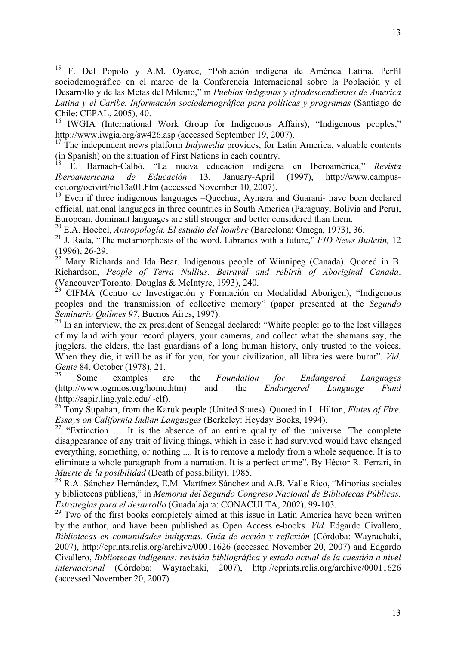15 F. Del Popolo y A.M. Oyarce, "Población indígena de América Latina. Perfil sociodemográfico en el marco de la Conferencia Internacional sobre la Población y el Desarrollo y de las Metas del Milenio," in *Pueblos indígenas y afrodescendientes de América Latina y el Caribe. Información sociodemográfica para políticas y programas* (Santiago de Chile: CEPAL, 2005), 40.

<sup>16</sup> IWGIA (International Work Group for Indigenous Affairs), "Indigenous peoples," http://www.iwgia.org/sw426.asp (accessed September 19, 2007).

<sup>17</sup> The independent news platform *Indymedia* provides, for Latin America, valuable contents (in Spanish) on the situation of First Nations in each country.

18 E. Barnach-Calbó, "La nueva educación indígena en Iberoamérica," *Revista Iberoamericana de Educación* 13, January-April (1997), http://www.campusoei.org/oeivirt/rie13a01.htm (accessed November 10, 2007).

 $19$  Even if three indigenous languages  $-$ Ouechua, Aymara and Guaraní- have been declared official, national languages in three countries in South America (Paraguay, Bolivia and Peru), European, dominant languages are still stronger and better considered than them.

20 E.A. Hoebel, *Antropología. El estudio del hombre* (Barcelona: Omega, 1973), 36.

21 J. Rada, "The metamorphosis of the word. Libraries with a future," *FID News Bulletin,* 12 (1996), 26-29.

 $^{22}$  Mary Richards and Ida Bear. Indigenous people of Winnipeg (Canada). Quoted in B. Richardson, *People of Terra Nullius. Betrayal and rebirth of Aboriginal Canada*. (Vancouver/Toronto: Douglas & McIntyre, 1993), 240.

<sup>23</sup> CIFMA (Centro de Investigación y Formación en Modalidad Aborigen), "Indigenous peoples and the transmission of collective memory" (paper presented at the *Segundo Seminario Quilmes 97*, Buenos Aires, 1997).

 $24$  In an interview, the ex president of Senegal declared: "White people: go to the lost villages of my land with your record players, your cameras, and collect what the shamans say, the jugglers, the elders, the last guardians of a long human history, only trusted to the voices. When they die, it will be as if for you, for your civilization, all libraries were burnt". *Vid. Gente* 84, October (1978), 21.

25 Some examples are the *Foundation for Endangered Languages* (http://www.ogmios.org/home.htm) and the *Endangered Language Fund*  (http://sapir.ling.yale.edu/~elf).

<sup>26</sup> Tony Supahan, from the Karuk people (United States). Quoted in L. Hilton, *Flutes of Fire. Essays on California Indian Languages* (Berkeley: Heyday Books, 1994).

<sup>27</sup> "Extinction  $\ldots$  It is the absence of an entire quality of the universe. The complete disappearance of any trait of living things, which in case it had survived would have changed everything, something, or nothing .... It is to remove a melody from a whole sequence. It is to eliminate a whole paragraph from a narration. It is a perfect crime". By Héctor R. Ferrari, in *Muerte de la posibilidad* (Death of possibility), 1985.

<sup>28</sup> R.A. Sánchez Hernández, E.M. Martínez Sánchez and A.B. Valle Rico, "Minorías sociales y bibliotecas públicas," in *Memoria del Segundo Congreso Nacional de Bibliotecas Públicas. Estrategias para el desarrollo* (Guadalajara: CONACULTA, 2002), 99-103.

 $29$  Two of the first books completely aimed at this issue in Latin America have been written by the author, and have been published as Open Access e-books. *Vid.* Edgardo Civallero, *Bibliotecas en comunidades indígenas. Guía de acción y reflexión* (Córdoba: Wayrachaki, 2007), http://eprints.rclis.org/archive/00011626 (accessed November 20, 2007) and Edgardo Civallero, *Bibliotecas indígenas: revisión bibliográfica y estado actual de la cuestión a nivel internacional* (Córdoba: Wayrachaki, 2007), http://eprints.rclis.org/archive/00011626 (accessed November 20, 2007).